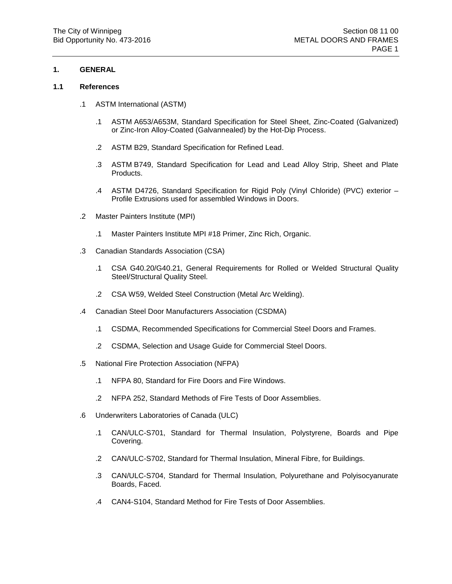## **1. GENERAL**

#### **1.1 References**

- .1 ASTM International (ASTM)
	- .1 ASTM A653/A653M, Standard Specification for Steel Sheet, Zinc-Coated (Galvanized) or Zinc-Iron Alloy-Coated (Galvannealed) by the Hot-Dip Process.
	- .2 ASTM B29, Standard Specification for Refined Lead.
	- .3 ASTM B749, Standard Specification for Lead and Lead Alloy Strip, Sheet and Plate Products.
	- .4 ASTM D4726, Standard Specification for Rigid Poly (Vinyl Chloride) (PVC) exterior Profile Extrusions used for assembled Windows in Doors.
- .2 Master Painters Institute (MPI)
	- .1 Master Painters Institute MPI #18 Primer, Zinc Rich, Organic.
- .3 Canadian Standards Association (CSA)
	- .1 CSA G40.20/G40.21, General Requirements for Rolled or Welded Structural Quality Steel/Structural Quality Steel.
	- .2 CSA W59, Welded Steel Construction (Metal Arc Welding).
- .4 Canadian Steel Door Manufacturers Association (CSDMA)
	- .1 CSDMA, Recommended Specifications for Commercial Steel Doors and Frames.
	- .2 CSDMA, Selection and Usage Guide for Commercial Steel Doors.
- .5 National Fire Protection Association (NFPA)
	- .1 NFPA 80, Standard for Fire Doors and Fire Windows.
	- .2 NFPA 252, Standard Methods of Fire Tests of Door Assemblies.
- .6 Underwriters Laboratories of Canada (ULC)
	- .1 CAN/ULC-S701, Standard for Thermal Insulation, Polystyrene, Boards and Pipe Covering.
	- .2 CAN/ULC-S702, Standard for Thermal Insulation, Mineral Fibre, for Buildings.
	- .3 CAN/ULC-S704, Standard for Thermal Insulation, Polyurethane and Polyisocyanurate Boards, Faced.
	- .4 CAN4-S104, Standard Method for Fire Tests of Door Assemblies.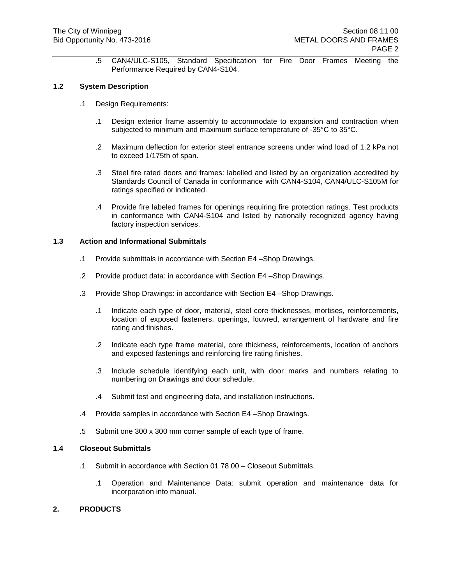.5 CAN4/ULC-S105, Standard Specification for Fire Door Frames Meeting the Performance Required by CAN4-S104.

## **1.2 System Description**

- .1 Design Requirements:
	- .1 Design exterior frame assembly to accommodate to expansion and contraction when subjected to minimum and maximum surface temperature of -35°C to 35°C.
	- .2 Maximum deflection for exterior steel entrance screens under wind load of 1.2 kPa not to exceed 1/175th of span.
	- .3 Steel fire rated doors and frames: labelled and listed by an organization accredited by Standards Council of Canada in conformance with CAN4-S104, CAN4/ULC-S105M for ratings specified or indicated.
	- .4 Provide fire labeled frames for openings requiring fire protection ratings. Test products in conformance with CAN4-S104 and listed by nationally recognized agency having factory inspection services.

# **1.3 Action and Informational Submittals**

- .1 Provide submittals in accordance with Section E4 –Shop Drawings.
- .2 Provide product data: in accordance with Section E4 –Shop Drawings.
- .3 Provide Shop Drawings: in accordance with Section E4 –Shop Drawings.
	- .1 Indicate each type of door, material, steel core thicknesses, mortises, reinforcements, location of exposed fasteners, openings, louvred, arrangement of hardware and fire rating and finishes.
	- .2 Indicate each type frame material, core thickness, reinforcements, location of anchors and exposed fastenings and reinforcing fire rating finishes.
	- .3 Include schedule identifying each unit, with door marks and numbers relating to numbering on Drawings and door schedule.
	- .4 Submit test and engineering data, and installation instructions.
- .4 Provide samples in accordance with Section E4 –Shop Drawings.
- .5 Submit one 300 x 300 mm corner sample of each type of frame.

#### **1.4 Closeout Submittals**

- .1 Submit in accordance with Section 01 78 00 Closeout Submittals.
	- .1 Operation and Maintenance Data: submit operation and maintenance data for incorporation into manual.

# **2. PRODUCTS**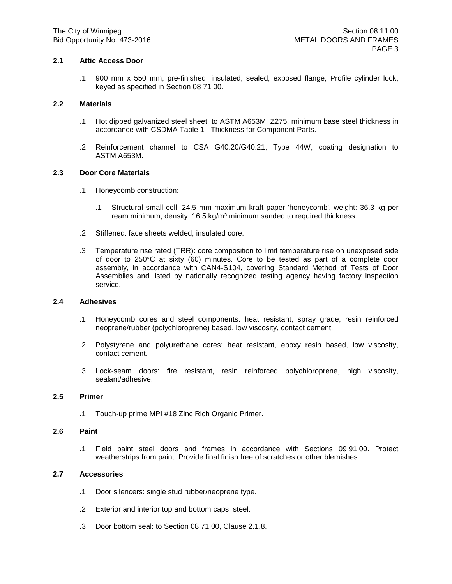# **2.1 Attic Access Door**

.1 900 mm x 550 mm, pre-finished, insulated, sealed, exposed flange, Profile cylinder lock, keyed as specified in Section 08 71 00.

#### **2.2 Materials**

- .1 Hot dipped galvanized steel sheet: to ASTM A653M, Z275, minimum base steel thickness in accordance with CSDMA Table 1 - Thickness for Component Parts.
- .2 Reinforcement channel to CSA G40.20/G40.21, Type 44W, coating designation to ASTM A653M.

## **2.3 Door Core Materials**

- .1 Honeycomb construction:
	- .1 Structural small cell, 24.5 mm maximum kraft paper 'honeycomb', weight: 36.3 kg per ream minimum, density: 16.5 kg/m<sup>3</sup> minimum sanded to required thickness.
- .2 Stiffened: face sheets welded, insulated core.
- .3 Temperature rise rated (TRR): core composition to limit temperature rise on unexposed side of door to 250°C at sixty (60) minutes. Core to be tested as part of a complete door assembly, in accordance with CAN4-S104, covering Standard Method of Tests of Door Assemblies and listed by nationally recognized testing agency having factory inspection service.

#### **2.4 Adhesives**

- .1 Honeycomb cores and steel components: heat resistant, spray grade, resin reinforced neoprene/rubber (polychloroprene) based, low viscosity, contact cement.
- .2 Polystyrene and polyurethane cores: heat resistant, epoxy resin based, low viscosity, contact cement.
- .3 Lock-seam doors: fire resistant, resin reinforced polychloroprene, high viscosity, sealant/adhesive.

#### **2.5 Primer**

.1 Touch-up prime MPI #18 Zinc Rich Organic Primer.

#### **2.6 Paint**

.1 Field paint steel doors and frames in accordance with Sections 09 91 00. Protect weatherstrips from paint. Provide final finish free of scratches or other blemishes.

## **2.7 Accessories**

- .1 Door silencers: single stud rubber/neoprene type.
- .2 Exterior and interior top and bottom caps: steel.
- .3 Door bottom seal: to Section 08 71 00, Clause 2.1.8.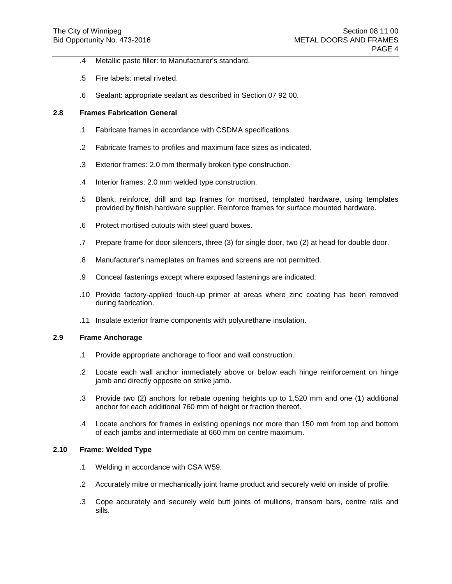- .4 Metallic paste filler: to Manufacturer's standard.
- .5 Fire labels: metal riveted.
- .6 Sealant: appropriate sealant as described in Section 07 92 00.

## **2.8 Frames Fabrication General**

- .1 Fabricate frames in accordance with CSDMA specifications.
- .2 Fabricate frames to profiles and maximum face sizes as indicated.
- .3 Exterior frames: 2.0 mm thermally broken type construction.
- .4 Interior frames: 2.0 mm welded type construction.
- .5 Blank, reinforce, drill and tap frames for mortised, templated hardware, using templates provided by finish hardware supplier. Reinforce frames for surface mounted hardware.
- .6 Protect mortised cutouts with steel guard boxes.
- .7 Prepare frame for door silencers, three (3) for single door, two (2) at head for double door.
- .8 Manufacturer's nameplates on frames and screens are not permitted.
- .9 Conceal fastenings except where exposed fastenings are indicated.
- .10 Provide factory-applied touch-up primer at areas where zinc coating has been removed during fabrication.
- .11 Insulate exterior frame components with polyurethane insulation.

#### **2.9 Frame Anchorage**

- .1 Provide appropriate anchorage to floor and wall construction.
- .2 Locate each wall anchor immediately above or below each hinge reinforcement on hinge jamb and directly opposite on strike jamb.
- .3 Provide two (2) anchors for rebate opening heights up to 1,520 mm and one (1) additional anchor for each additional 760 mm of height or fraction thereof.
- .4 Locate anchors for frames in existing openings not more than 150 mm from top and bottom of each jambs and intermediate at 660 mm on centre maximum.

#### **2.10 Frame: Welded Type**

- .1 Welding in accordance with CSA W59.
- .2 Accurately mitre or mechanically joint frame product and securely weld on inside of profile.
- .3 Cope accurately and securely weld butt joints of mullions, transom bars, centre rails and sills.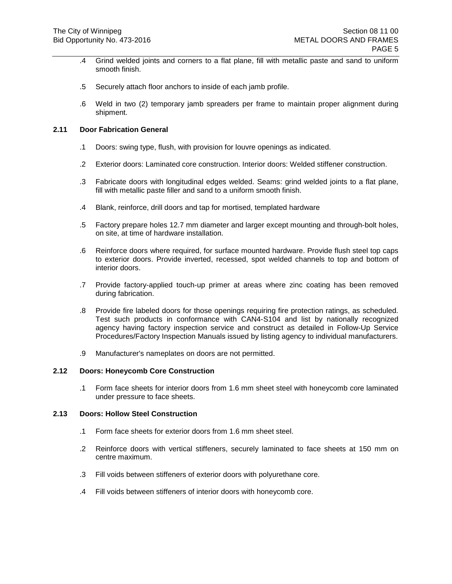- .4 Grind welded joints and corners to a flat plane, fill with metallic paste and sand to uniform smooth finish.
- .5 Securely attach floor anchors to inside of each jamb profile.
- .6 Weld in two (2) temporary jamb spreaders per frame to maintain proper alignment during shipment.

# **2.11 Door Fabrication General**

- .1 Doors: swing type, flush, with provision for louvre openings as indicated.
- .2 Exterior doors: Laminated core construction. Interior doors: Welded stiffener construction.
- .3 Fabricate doors with longitudinal edges welded. Seams: grind welded joints to a flat plane, fill with metallic paste filler and sand to a uniform smooth finish.
- .4 Blank, reinforce, drill doors and tap for mortised, templated hardware
- .5 Factory prepare holes 12.7 mm diameter and larger except mounting and through-bolt holes, on site, at time of hardware installation.
- .6 Reinforce doors where required, for surface mounted hardware. Provide flush steel top caps to exterior doors. Provide inverted, recessed, spot welded channels to top and bottom of interior doors.
- .7 Provide factory-applied touch-up primer at areas where zinc coating has been removed during fabrication.
- .8 Provide fire labeled doors for those openings requiring fire protection ratings, as scheduled. Test such products in conformance with CAN4-S104 and list by nationally recognized agency having factory inspection service and construct as detailed in Follow-Up Service Procedures/Factory Inspection Manuals issued by listing agency to individual manufacturers.
- .9 Manufacturer's nameplates on doors are not permitted.

## **2.12 Doors: Honeycomb Core Construction**

.1 Form face sheets for interior doors from 1.6 mm sheet steel with honeycomb core laminated under pressure to face sheets.

# **2.13 Doors: Hollow Steel Construction**

- .1 Form face sheets for exterior doors from 1.6 mm sheet steel.
- .2 Reinforce doors with vertical stiffeners, securely laminated to face sheets at 150 mm on centre maximum.
- .3 Fill voids between stiffeners of exterior doors with polyurethane core.
- .4 Fill voids between stiffeners of interior doors with honeycomb core.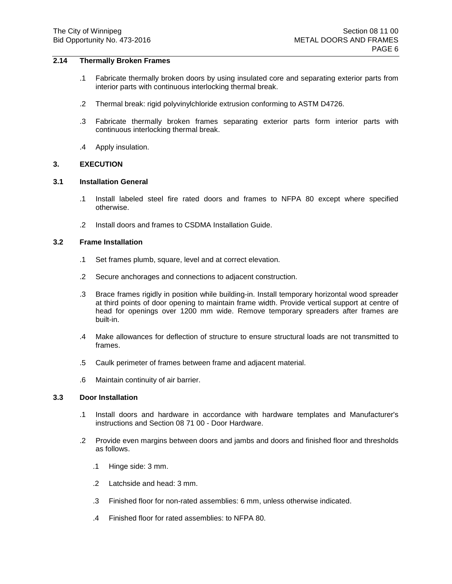# **2.14 Thermally Broken Frames**

- .1 Fabricate thermally broken doors by using insulated core and separating exterior parts from interior parts with continuous interlocking thermal break.
- .2 Thermal break: rigid polyvinylchloride extrusion conforming to ASTM D4726.
- .3 Fabricate thermally broken frames separating exterior parts form interior parts with continuous interlocking thermal break.
- .4 Apply insulation.

# **3. EXECUTION**

## **3.1 Installation General**

- .1 Install labeled steel fire rated doors and frames to NFPA 80 except where specified otherwise.
- .2 Install doors and frames to CSDMA Installation Guide.

## **3.2 Frame Installation**

- .1 Set frames plumb, square, level and at correct elevation.
- .2 Secure anchorages and connections to adjacent construction.
- .3 Brace frames rigidly in position while building-in. Install temporary horizontal wood spreader at third points of door opening to maintain frame width. Provide vertical support at centre of head for openings over 1200 mm wide. Remove temporary spreaders after frames are built-in.
- .4 Make allowances for deflection of structure to ensure structural loads are not transmitted to frames.
- .5 Caulk perimeter of frames between frame and adjacent material.
- .6 Maintain continuity of air barrier.

## **3.3 Door Installation**

- .1 Install doors and hardware in accordance with hardware templates and Manufacturer's instructions and Section 08 71 00 - Door Hardware.
- .2 Provide even margins between doors and jambs and doors and finished floor and thresholds as follows.
	- .1 Hinge side: 3 mm.
	- .2 Latchside and head: 3 mm.
	- .3 Finished floor for non-rated assemblies: 6 mm, unless otherwise indicated.
	- .4 Finished floor for rated assemblies: to NFPA 80.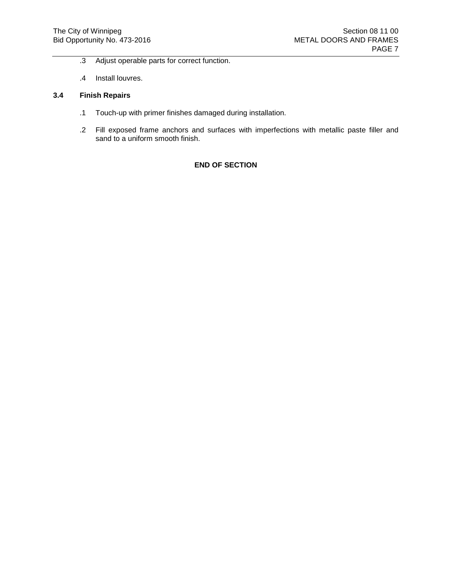- .3 Adjust operable parts for correct function.
- .4 Install louvres.

# **3.4 Finish Repairs**

- .1 Touch-up with primer finishes damaged during installation.
- .2 Fill exposed frame anchors and surfaces with imperfections with metallic paste filler and sand to a uniform smooth finish.

# **END OF SECTION**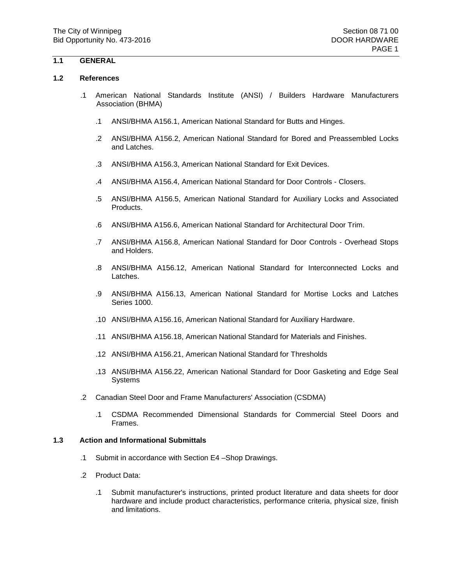# **1.1 GENERAL**

#### **1.2 References**

- .1 American National Standards Institute (ANSI) / Builders Hardware Manufacturers Association (BHMA)
	- .1 ANSI/BHMA A156.1, American National Standard for Butts and Hinges.
	- .2 ANSI/BHMA A156.2, American National Standard for Bored and Preassembled Locks and Latches.
	- .3 ANSI/BHMA A156.3, American National Standard for Exit Devices.
	- .4 ANSI/BHMA A156.4, American National Standard for Door Controls Closers.
	- .5 ANSI/BHMA A156.5, American National Standard for Auxiliary Locks and Associated Products.
	- .6 ANSI/BHMA A156.6, American National Standard for Architectural Door Trim.
	- .7 ANSI/BHMA A156.8, American National Standard for Door Controls Overhead Stops and Holders.
	- .8 ANSI/BHMA A156.12, American National Standard for Interconnected Locks and Latches.
	- .9 ANSI/BHMA A156.13, American National Standard for Mortise Locks and Latches Series 1000.
	- .10 ANSI/BHMA A156.16, American National Standard for Auxiliary Hardware.
	- .11 ANSI/BHMA A156.18, American National Standard for Materials and Finishes.
	- .12 ANSI/BHMA A156.21, American National Standard for Thresholds
	- .13 ANSI/BHMA A156.22, American National Standard for Door Gasketing and Edge Seal **Systems**
- .2 Canadian Steel Door and Frame Manufacturers' Association (CSDMA)
	- .1 CSDMA Recommended Dimensional Standards for Commercial Steel Doors and Frames.

#### **1.3 Action and Informational Submittals**

- .1 Submit in accordance with Section E4 –Shop Drawings.
- .2 Product Data:
	- .1 Submit manufacturer's instructions, printed product literature and data sheets for door hardware and include product characteristics, performance criteria, physical size, finish and limitations.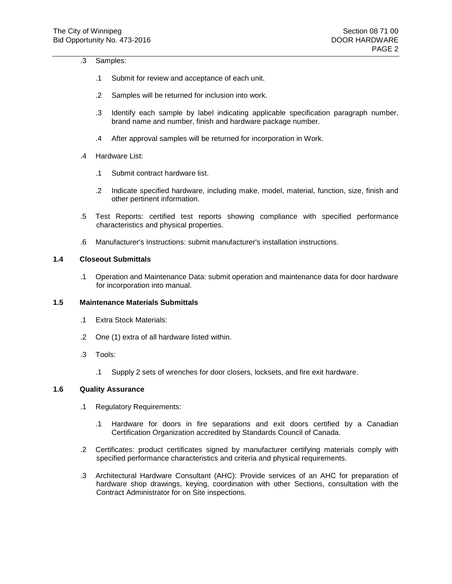| د. | Samples: |
|----|----------|
|----|----------|

- .1 Submit for review and acceptance of each unit.
- .2 Samples will be returned for inclusion into work.
- .3 Identify each sample by label indicating applicable specification paragraph number, brand name and number, finish and hardware package number.
- .4 After approval samples will be returned for incorporation in Work.
- .4 Hardware List:
	- .1 Submit contract hardware list.
	- .2 Indicate specified hardware, including make, model, material, function, size, finish and other pertinent information.
- .5 Test Reports: certified test reports showing compliance with specified performance characteristics and physical properties.
- .6 Manufacturer's Instructions: submit manufacturer's installation instructions.

# **1.4 Closeout Submittals**

.1 Operation and Maintenance Data: submit operation and maintenance data for door hardware for incorporation into manual.

## **1.5 Maintenance Materials Submittals**

- .1 Extra Stock Materials:
- .2 One (1) extra of all hardware listed within.
- .3 Tools:
	- .1 Supply 2 sets of wrenches for door closers, locksets, and fire exit hardware.

# **1.6 Quality Assurance**

- .1 Regulatory Requirements:
	- .1 Hardware for doors in fire separations and exit doors certified by a Canadian Certification Organization accredited by Standards Council of Canada.
- .2 Certificates: product certificates signed by manufacturer certifying materials comply with specified performance characteristics and criteria and physical requirements.
- .3 Architectural Hardware Consultant (AHC): Provide services of an AHC for preparation of hardware shop drawings, keying, coordination with other Sections, consultation with the Contract Administrator for on Site inspections.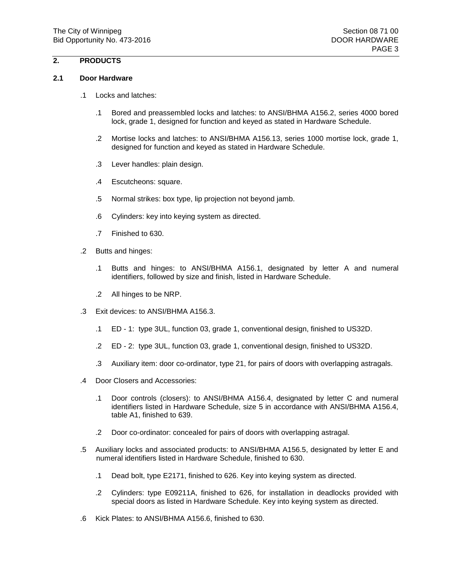# **2. PRODUCTS**

#### **2.1 Door Hardware**

- .1 Locks and latches:
	- .1 Bored and preassembled locks and latches: to ANSI/BHMA A156.2, series 4000 bored lock, grade 1, designed for function and keyed as stated in Hardware Schedule.
	- .2 Mortise locks and latches: to ANSI/BHMA A156.13, series 1000 mortise lock, grade 1, designed for function and keyed as stated in Hardware Schedule.
	- .3 Lever handles: plain design.
	- .4 Escutcheons: square.
	- .5 Normal strikes: box type, lip projection not beyond jamb.
	- .6 Cylinders: key into keying system as directed.
	- .7 Finished to 630.
- .2 Butts and hinges:
	- .1 Butts and hinges: to ANSI/BHMA A156.1, designated by letter A and numeral identifiers, followed by size and finish, listed in Hardware Schedule.
	- .2 All hinges to be NRP.
- .3 Exit devices: to ANSI/BHMA A156.3.
	- .1 ED 1: type 3UL, function 03, grade 1, conventional design, finished to US32D.
	- .2 ED 2: type 3UL, function 03, grade 1, conventional design, finished to US32D.
	- .3 Auxiliary item: door co-ordinator, type 21, for pairs of doors with overlapping astragals.
- .4 Door Closers and Accessories:
	- .1 Door controls (closers): to ANSI/BHMA A156.4, designated by letter C and numeral identifiers listed in Hardware Schedule, size 5 in accordance with ANSI/BHMA A156.4, table A1, finished to 639.
	- .2 Door co-ordinator: concealed for pairs of doors with overlapping astragal.
- .5 Auxiliary locks and associated products: to ANSI/BHMA A156.5, designated by letter E and numeral identifiers listed in Hardware Schedule, finished to 630.
	- .1 Dead bolt, type E2171, finished to 626. Key into keying system as directed.
	- .2 Cylinders: type E09211A, finished to 626, for installation in deadlocks provided with special doors as listed in Hardware Schedule. Key into keying system as directed.
- .6 Kick Plates: to ANSI/BHMA A156.6, finished to 630.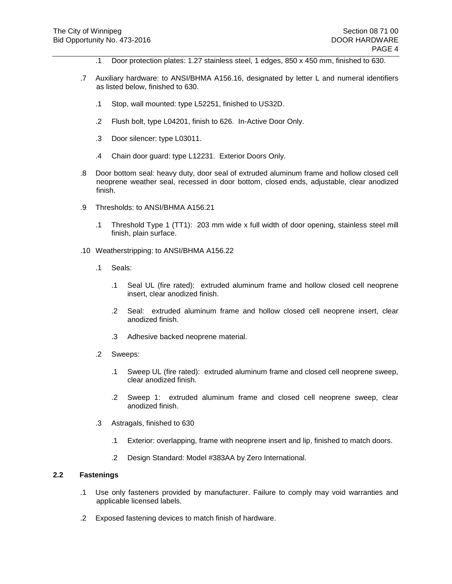- .1 Door protection plates: 1.27 stainless steel, 1 edges, 850 x 450 mm, finished to 630.
- .7 Auxiliary hardware: to ANSI/BHMA A156.16, designated by letter L and numeral identifiers as listed below, finished to 630.
	- .1 Stop, wall mounted: type L52251, finished to US32D.
	- .2 Flush bolt, type L04201, finish to 626. In-Active Door Only.
	- .3 Door silencer: type L03011.
	- .4 Chain door guard: type L12231. Exterior Doors Only.
- .8 Door bottom seal: heavy duty, door seal of extruded aluminum frame and hollow closed cell neoprene weather seal, recessed in door bottom, closed ends, adjustable, clear anodized finish.
- .9 Thresholds: to ANSI/BHMA A156.21
	- .1 Threshold Type 1 (TT1): 203 mm wide x full width of door opening, stainless steel mill finish, plain surface.
- .10 Weatherstripping: to ANSI/BHMA A156.22
	- .1 Seals:
		- .1 Seal UL (fire rated): extruded aluminum frame and hollow closed cell neoprene insert, clear anodized finish.
		- .2 Seal: extruded aluminum frame and hollow closed cell neoprene insert, clear anodized finish.
		- .3 Adhesive backed neoprene material.
	- .2 Sweeps:
		- .1 Sweep UL (fire rated): extruded aluminum frame and closed cell neoprene sweep, clear anodized finish.
		- .2 Sweep 1: extruded aluminum frame and closed cell neoprene sweep, clear anodized finish.
	- .3 Astragals, finished to 630
		- .1 Exterior: overlapping, frame with neoprene insert and lip, finished to match doors.
		- .2 Design Standard: Model #383AA by Zero International.

#### **2.2 Fastenings**

- .1 Use only fasteners provided by manufacturer. Failure to comply may void warranties and applicable licensed labels.
- .2 Exposed fastening devices to match finish of hardware.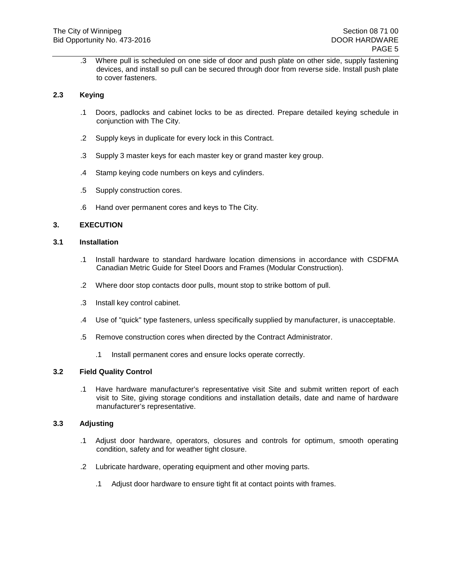.3 Where pull is scheduled on one side of door and push plate on other side, supply fastening devices, and install so pull can be secured through door from reverse side. Install push plate to cover fasteners.

## **2.3 Keying**

- .1 Doors, padlocks and cabinet locks to be as directed. Prepare detailed keying schedule in conjunction with The City.
- .2 Supply keys in duplicate for every lock in this Contract.
- .3 Supply 3 master keys for each master key or grand master key group.
- .4 Stamp keying code numbers on keys and cylinders.
- .5 Supply construction cores.
- .6 Hand over permanent cores and keys to The City.

# **3. EXECUTION**

## **3.1 Installation**

- .1 Install hardware to standard hardware location dimensions in accordance with CSDFMA Canadian Metric Guide for Steel Doors and Frames (Modular Construction).
- .2 Where door stop contacts door pulls, mount stop to strike bottom of pull.
- .3 Install key control cabinet.
- .4 Use of "quick" type fasteners, unless specifically supplied by manufacturer, is unacceptable.
- .5 Remove construction cores when directed by the Contract Administrator.
	- .1 Install permanent cores and ensure locks operate correctly.

## **3.2 Field Quality Control**

.1 Have hardware manufacturer's representative visit Site and submit written report of each visit to Site, giving storage conditions and installation details, date and name of hardware manufacturer's representative.

## **3.3 Adjusting**

- .1 Adjust door hardware, operators, closures and controls for optimum, smooth operating condition, safety and for weather tight closure.
- .2 Lubricate hardware, operating equipment and other moving parts.
	- .1 Adjust door hardware to ensure tight fit at contact points with frames.